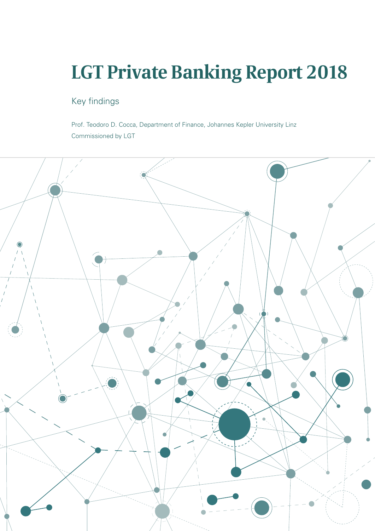# **LGT Private Banking Report 2018**

# Key findings

Prof. Teodoro D. Cocca, Department of Finance, Johannes Kepler University Linz Commissioned by LGT

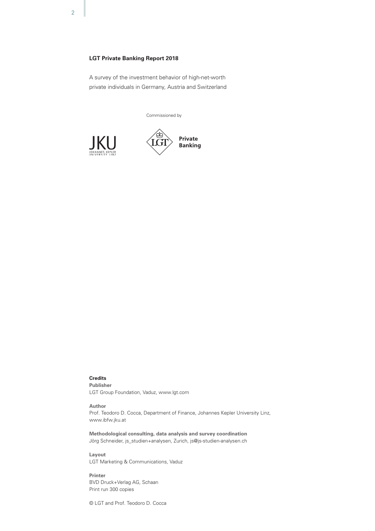# **LGT Private Banking Report 2018**

A survey of the investment behavior of high-net-worth private individuals in Germany, Austria and Switzerland

Commissioned by





# **Credits**

**Publisher** LGT Group Foundation, Vaduz, www.lgt.com

#### **Author**

Prof. Teodoro D. Cocca, Department of Finance, Johannes Kepler University Linz, www.ibfw.jku.at

**Methodological consulting, data analysis and survey coordination** Jörg Schneider, js\_studien+analysen, Zurich, js@js-studien-analysen.ch

**Layout** LGT Marketing & Communications, Vaduz

**Printer** BVD Druck+Verlag AG, Schaan Print run 300 copies

© LGT and Prof. Teodoro D. Cocca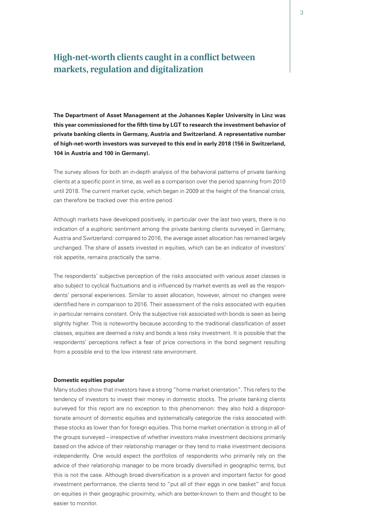# **High-net-worth clients caught in a conflict between markets, regulation and digitalization**

**The Department of Asset Management at the Johannes Kepler University in Linz was this year commissioned for the fifth time by LGT to research the investment behavior of private banking clients in Germany, Austria and Switzerland. A representative number of high-net-worth investors was surveyed to this end in early 2018 (156 in Switzerland, 104 in Austria and 100 in Germany).**

The survey allows for both an in-depth analysis of the behavioral patterns of private banking clients at a specific point in time, as well as a comparison over the period spanning from 2010 until 2018. The current market cycle, which began in 2009 at the height of the financial crisis, can therefore be tracked over this entire period.

Although markets have developed positively, in particular over the last two years, there is no indication of a euphoric sentiment among the private banking clients surveyed in Germany, Austria and Switzerland: compared to 2016, the average asset allocation has remained largely unchanged. The share of assets invested in equities, which can be an indicator of investors' risk appetite, remains practically the same.

The respondents' subjective perception of the risks associated with various asset classes is also subject to cyclical fluctuations and is influenced by market events as well as the respondents' personal experiences. Similar to asset allocation, however, almost no changes were identified here in comparison to 2016. Their assessment of the risks associated with equities in particular remains constant. Only the subjective risk associated with bonds is seen as being slightly higher. This is noteworthy because according to the traditional classification of asset classes, equities are deemed a risky and bonds a less risky investment. It is possible that the respondents' perceptions reflect a fear of price corrections in the bond segment resulting from a possible end to the low interest rate environment.

#### **Domestic equities popular**

Many studies show that investors have a strong "home market orientation". This refers to the tendency of investors to invest their money in domestic stocks. The private banking clients surveyed for this report are no exception to this phenomenon: they also hold a disproportionate amount of domestic equities and systematically categorize the risks associated with these stocks as lower than for foreign equities. This home market orientation is strong in all of the groups surveyed – irrespective of whether investors make investment decisions primarily based on the advice of their relationship manager or they tend to make investment decisions independently. One would expect the portfolios of respondents who primarily rely on the advice of their relationship manager to be more broadly diversified in geographic terms, but this is not the case. Although broad diversification is a proven and important factor for good investment performance, the clients tend to "put all of their eggs in one basket" and focus on equities in their geographic proximity, which are better-known to them and thought to be easier to monitor.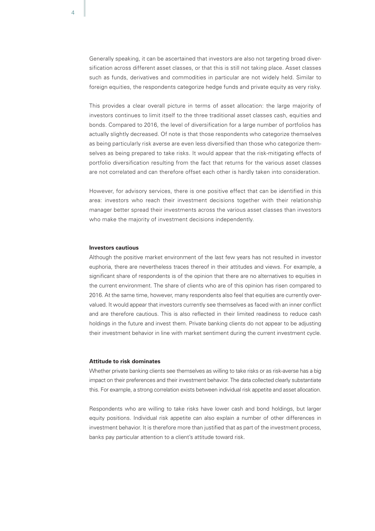Generally speaking, it can be ascertained that investors are also not targeting broad diversification across different asset classes, or that this is still not taking place. Asset classes such as funds, derivatives and commodities in particular are not widely held. Similar to foreign equities, the respondents categorize hedge funds and private equity as very risky.

This provides a clear overall picture in terms of asset allocation: the large majority of investors continues to limit itself to the three traditional asset classes cash, equities and bonds. Compared to 2016, the level of diversification for a large number of portfolios has actually slightly decreased. Of note is that those respondents who categorize themselves as being particularly risk averse are even less diversified than those who categorize themselves as being prepared to take risks. It would appear that the risk-mitigating effects of portfolio diversification resulting from the fact that returns for the various asset classes are not correlated and can therefore offset each other is hardly taken into consideration.

However, for advisory services, there is one positive effect that can be identified in this area: investors who reach their investment decisions together with their relationship manager better spread their investments across the various asset classes than investors who make the majority of investment decisions independently.

#### **Investors cautious**

Although the positive market environment of the last few years has not resulted in investor euphoria, there are nevertheless traces thereof in their attitudes and views. For example, a significant share of respondents is of the opinion that there are no alternatives to equities in the current environment. The share of clients who are of this opinion has risen compared to 2016. At the same time, however, many respondents also feel that equities are currently overvalued. It would appear that investors currently see themselves as faced with an inner conflict and are therefore cautious. This is also reflected in their limited readiness to reduce cash holdings in the future and invest them. Private banking clients do not appear to be adjusting their investment behavior in line with market sentiment during the current investment cycle.

#### **Attitude to risk dominates**

Whether private banking clients see themselves as willing to take risks or as risk-averse has a big impact on their preferences and their investment behavior. The data collected clearly substantiate this. For example, a strong correlation exists between individual risk appetite and asset allocation.

Respondents who are willing to take risks have lower cash and bond holdings, but larger equity positions. Individual risk appetite can also explain a number of other differences in investment behavior. It is therefore more than justified that as part of the investment process, banks pay particular attention to a client's attitude toward risk.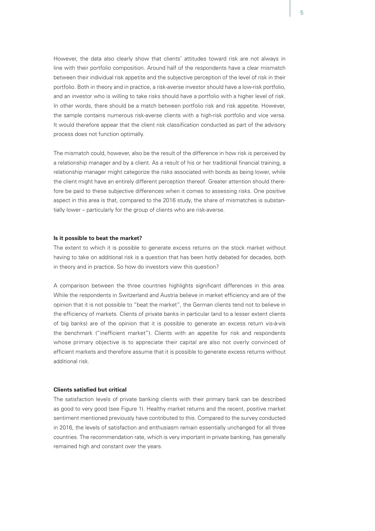However, the data also clearly show that clients' attitudes toward risk are not always in line with their portfolio composition. Around half of the respondents have a clear mismatch between their individual risk appetite and the subjective perception of the level of risk in their portfolio. Both in theory and in practice, a risk-averse investor should have a low-risk portfolio, and an investor who is willing to take risks should have a portfolio with a higher level of risk. In other words, there should be a match between portfolio risk and risk appetite. However, the sample contains numerous risk-averse clients with a high-risk portfolio and vice versa. It would therefore appear that the client risk classification conducted as part of the advisory process does not function optimally.

The mismatch could, however, also be the result of the difference in how risk is perceived by a relationship manager and by a client. As a result of his or her traditional financial training, a relationship manager might categorize the risks associated with bonds as being lower, while the client might have an entirely different perception thereof. Greater attention should therefore be paid to these subjective differences when it comes to assessing risks. One positive aspect in this area is that, compared to the 2016 study, the share of mismatches is substantially lower – particularly for the group of clients who are risk-averse.

#### **Is it possible to beat the market?**

The extent to which it is possible to generate excess returns on the stock market without having to take on additional risk is a question that has been hotly debated for decades, both in theory and in practice. So how do investors view this question?

A comparison between the three countries highlights significant differences in this area. While the respondents in Switzerland and Austria believe in market efficiency and are of the opinion that it is not possible to "beat the market", the German clients tend not to believe in the efficiency of markets. Clients of private banks in particular (and to a lesser extent clients of big banks) are of the opinion that it is possible to generate an excess return vis-à-vis the benchmark ("inefficient market"). Clients with an appetite for risk and respondents whose primary objective is to appreciate their capital are also not overly convinced of efficient markets and therefore assume that it is possible to generate excess returns without additional risk.

#### **Clients satisfied but critical**

The satisfaction levels of private banking clients with their primary bank can be described as good to very good (see Figure 1). Healthy market returns and the recent, positive market sentiment mentioned previously have contributed to this. Compared to the survey conducted in 2016, the levels of satisfaction and enthusiasm remain essentially unchanged for all three countries. The recommendation rate, which is very important in private banking, has generally remained high and constant over the years.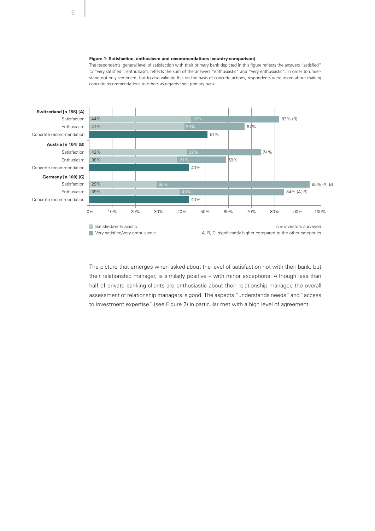#### **Figure 1: Satisfaction, enthusiasm and recommendations (country comparison)**

concrete recommendations to others as regards their primary bank. The respondents' general level of satisfaction with their primary bank depicted in this figure reflects the answers "satisfied" to "very satisfied"; enthusiasm, reflects the sum of the answers "enthusiastic" and "very enthusiastic". In order to understand not only sentiment, but to also validate this on the basis of concrete actions, respondents were asked about making



The picture that emerges when asked about the level of satisfaction not with their bank, but their relationship manager, is similarly positive – with minor exceptions. Although less than half of private banking clients are enthusiastic about their relationship manager, the overall assessment of relationship managers is good. The aspects "understands needs" and "access to investment expertise" (see Figure 2) in particular met with a high level of agreement.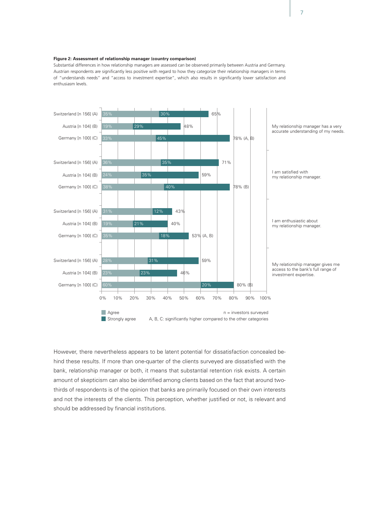#### **Figure 2: Assessment of relationship manager (country comparison)**

Substantial differences in how relationship managers are assessed can be observed primarily between Austria and Germany. Austrian respondents are significantly less positive with regard to how they categorize their relationship managers in terms of "understands needs" and "access to investment expertise", which also results in significantly lower satisfaction and enthusiasm levels.



However, there nevertheless appears to be latent potential for dissatisfaction concealed behind these results. If more than one-quarter of the clients surveyed are dissatisfied with the bank, relationship manager or both, it means that substantial retention risk exists. A certain amount of skepticism can also be identified among clients based on the fact that around twothirds of respondents is of the opinion that banks are primarily focused on their own interests and not the interests of the clients. This perception, whether justified or not, is relevant and should be addressed by financial institutions.

7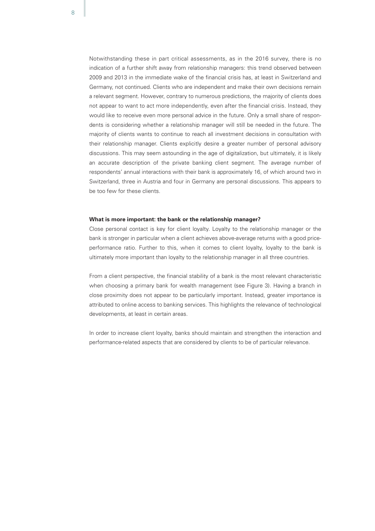Notwithstanding these in part critical assessments, as in the 2016 survey, there is no indication of a further shift away from relationship managers: this trend observed between 2009 and 2013 in the immediate wake of the financial crisis has, at least in Switzerland and Germany, not continued. Clients who are independent and make their own decisions remain a relevant segment. However, contrary to numerous predictions, the majority of clients does not appear to want to act more independently, even after the financial crisis. Instead, they would like to receive even more personal advice in the future. Only a small share of respondents is considering whether a relationship manager will still be needed in the future. The majority of clients wants to continue to reach all investment decisions in consultation with their relationship manager. Clients explicitly desire a greater number of personal advisory discussions. This may seem astounding in the age of digitalization, but ultimately, it is likely an accurate description of the private banking client segment. The average number of respondents' annual interactions with their bank is approximately 16, of which around two in Switzerland, three in Austria and four in Germany are personal discussions. This appears to be too few for these clients.

#### **What is more important: the bank or the relationship manager?**

Close personal contact is key for client loyalty. Loyalty to the relationship manager or the bank is stronger in particular when a client achieves above-average returns with a good priceperformance ratio. Further to this, when it comes to client loyalty, loyalty to the bank is ultimately more important than loyalty to the relationship manager in all three countries.

From a client perspective, the financial stability of a bank is the most relevant characteristic when choosing a primary bank for wealth management (see Figure 3). Having a branch in close proximity does not appear to be particularly important. Instead, greater importance is attributed to online access to banking services. This highlights the relevance of technological developments, at least in certain areas.

In order to increase client loyalty, banks should maintain and strengthen the interaction and performance-related aspects that are considered by clients to be of particular relevance.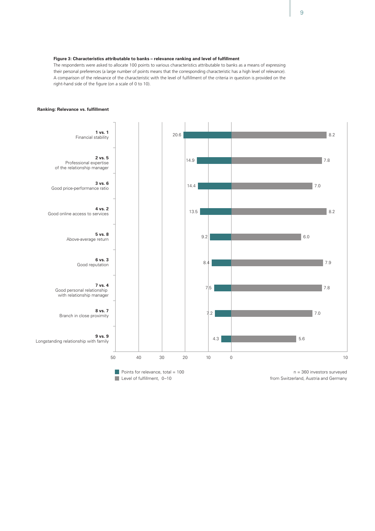#### **Figure 3: Characteristics attributable to banks – relevance ranking and level of fulfillment**

The respondents were asked to allocate 100 points to various characteristics attributable to banks as a means of expressing their personal preferences (a large number of points means that the corresponding characteristic has a high level of relevance). A comparison of the relevance of the characteristic with the level of fulfillment of the criteria in question is provided on the right-hand side of the figure (on a scale of 0 to 10).



#### **Ranking: Relevance vs. fulfillment**

Points for relevance, total  $= 100$ Level of fulfillment, 0-10

n = 360 investors surveyed from Switzerland, Austria and Germany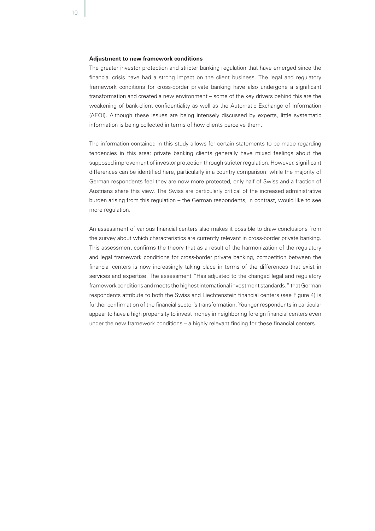#### **Adjustment to new framework conditions**

The greater investor protection and stricter banking regulation that have emerged since the financial crisis have had a strong impact on the client business. The legal and regulatory framework conditions for cross-border private banking have also undergone a significant transformation and created a new environment – some of the key drivers behind this are the weakening of bank-client confidentiality as well as the Automatic Exchange of Information (AEOI). Although these issues are being intensely discussed by experts, little systematic information is being collected in terms of how clients perceive them.

The information contained in this study allows for certain statements to be made regarding tendencies in this area: private banking clients generally have mixed feelings about the supposed improvement of investor protection through stricter regulation. However, significant differences can be identified here, particularly in a country comparison: while the majority of German respondents feel they are now more protected, only half of Swiss and a fraction of Austrians share this view. The Swiss are particularly critical of the increased administrative burden arising from this regulation – the German respondents, in contrast, would like to see more regulation.

An assessment of various financial centers also makes it possible to draw conclusions from the survey about which characteristics are currently relevant in cross-border private banking. This assessment confirms the theory that as a result of the harmonization of the regulatory and legal framework conditions for cross-border private banking, competition between the financial centers is now increasingly taking place in terms of the differences that exist in services and expertise. The assessment "Has adjusted to the changed legal and regulatory framework conditions and meets the highest international investment standards." that German respondents attribute to both the Swiss and Liechtenstein financial centers (see Figure 4) is further confirmation of the financial sector's transformation. Younger respondents in particular appear to have a high propensity to invest money in neighboring foreign financial centers even under the new framework conditions – a highly relevant finding for these financial centers.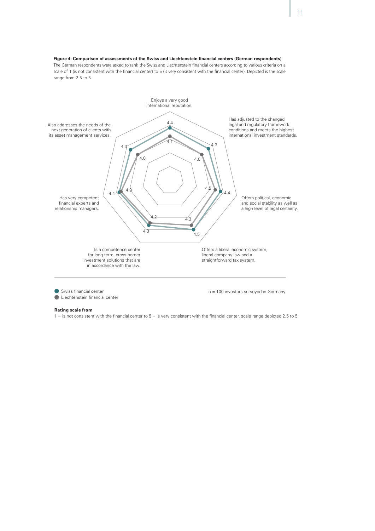

Is a competence center for long-term, cross-border investment solutions that are in accordance with the law.

Offers a liberal economic system, liberal company law and a straightforward tax system.

Swiss financial center

Liechtenstein financial center

n = 100 investors surveyed in Germany

#### **Rating scale from**

 $1 =$  is not consistent with the financial center to  $5 =$  is very consistent with the financial center, scale range depicted 2.5 to 5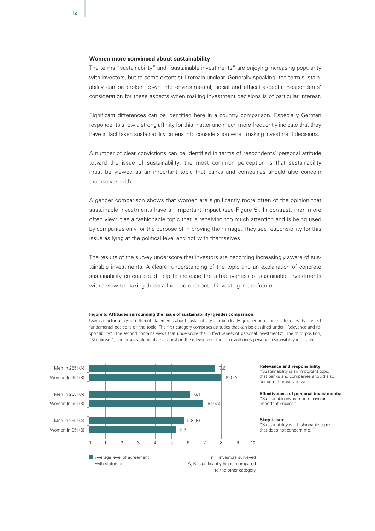## **Women more convinced about sustainability**

The terms "sustainability" and "sustainable investments" are enjoying increasing popularity with investors, but to some extent still remain unclear. Generally speaking, the term sustainability can be broken down into environmental, social and ethical aspects. Respondents' consideration for these aspects when making investment decisions is of particular interest.

Significant differences can be identified here in a country comparison. Especially German respondents show a strong affinity for this matter and much more frequently indicate that they have in fact taken sustainability criteria into consideration when making investment decisions.

A number of clear convictions can be identified in terms of respondents' personal attitude toward the issue of sustainability: the most common perception is that sustainability must be viewed as an important topic that banks and companies should also concern themselves with.

A gender comparison shows that women are significantly more often of the opinion that sustainable investments have an important impact (see Figure 5). In contrast, men more often view it as a fashionable topic that is receiving too much attention and is being used by companies only for the purpose of improving their image. They see responsibility for this issue as lying at the political level and not with themselves.

The results of the survey underscore that investors are becoming increasingly aware of sustainable investments. A clearer understanding of the topic and an explanation of concrete sustainability criteria could help to increase the attractiveness of sustainable investments with a view to making these a fixed component of investing in the future.



#### **Figure 5: Attitudes surrounding the issue of sustainability (gender comparison)**

**Figure 5: Attitudes surrounding the issue of sustainability (gender comparison)** "Skepticism", comprises statements that question the relevance of the topic and one's personal responsibility in this area.Using a factor analysis, different statements about sustainability can be clearly grouped into three categories that reflect fundamental positions on the topic. The first category comprises attitudes that can be classified under "Relevance and responsibility". The second contains views that underscore the "Effectiveness of personal investments". The third position,

> **Relevance and responsibility:**  "Sustainability is an important topic

that banks and companies should also concern themselves with."

**Effectiveness of personal investments:** "Sustainable investments have an important impact."

#### **Skepticism:**

"Sustainability is a fashionable topic that does not concern me.

12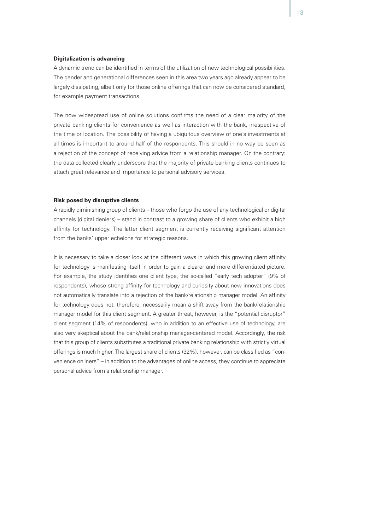#### **Digitalization is advancing**

A dynamic trend can be identified in terms of the utilization of new technological possibilities. The gender and generational differences seen in this area two years ago already appear to be largely dissipating, albeit only for those online offerings that can now be considered standard, for example payment transactions.

The now widespread use of online solutions confirms the need of a clear majority of the private banking clients for convenience as well as interaction with the bank, irrespective of the time or location. The possibility of having a ubiquitous overview of one's investments at all times is important to around half of the respondents. This should in no way be seen as a rejection of the concept of receiving advice from a relationship manager. On the contrary: the data collected clearly underscore that the majority of private banking clients continues to attach great relevance and importance to personal advisory services.

### **Risk posed by disruptive clients**

A rapidly diminishing group of clients – those who forgo the use of any technological or digital channels (digital deniers) – stand in contrast to a growing share of clients who exhibit a high affinity for technology. The latter client segment is currently receiving significant attention from the banks' upper echelons for strategic reasons.

It is necessary to take a closer look at the different ways in which this growing client affinity for technology is manifesting itself in order to gain a clearer and more differentiated picture. For example, the study identifies one client type, the so-called "early tech adopter" (9% of respondents), whose strong affinity for technology and curiosity about new innovations does not automatically translate into a rejection of the bank/relationship manager model. An affinity for technology does not, therefore, necessarily mean a shift away from the bank/relationship manager model for this client segment. A greater threat, however, is the "potential disruptor" client segment (14% of respondents), who in addition to an effective use of technology, are also very skeptical about the bank/relationship manager-centered model. Accordingly, the risk that this group of clients substitutes a traditional private banking relationship with strictly virtual offerings is much higher. The largest share of clients (32%), however, can be classified as "convenience onliners" – in addition to the advantages of online access, they continue to appreciate personal advice from a relationship manager.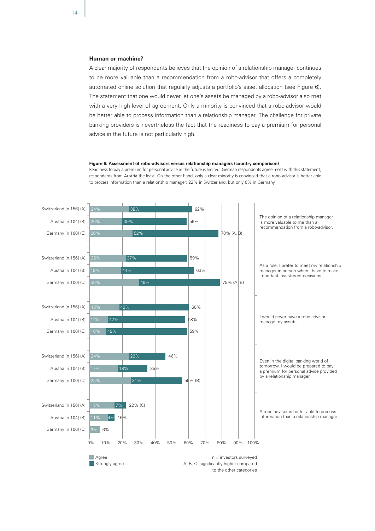## **Human or machine?**

A clear majority of respondents believes that the opinion of a relationship manager continues to be more valuable than a recommendation from a robo-advisor that offers a completely automated online solution that regularly adjusts a portfolio's asset allocation (see Figure 6). The statement that one would never let one's assets be managed by a robo-advisor also met with a very high level of agreement. Only a minority is convinced that a robo-advisor would be better able to process information than a relationship manager. The challenge for private banking providers is nevertheless the fact that the readiness to pay a premium for personal advice in the future is not particularly high.

#### **Figure 6: Assessment of robo-advisors versus relationship managers (country comparison)**

respondents from Austria the least. On the other hand, only a clear minority is convinced that a robo-advisor is better able Readiness to pay a premium for personal advice in the future is limited. German respondents agree most with this statement, to process information than a relationship manager: 22% in Switzerland, but only 6% in Germany.

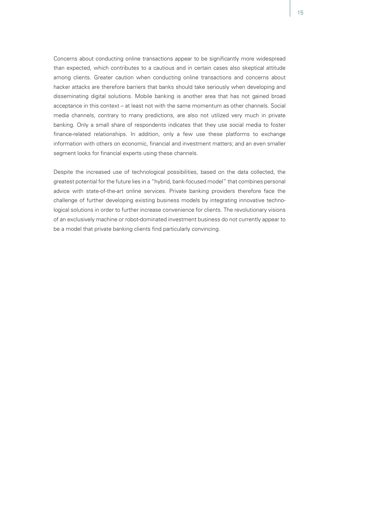Concerns about conducting online transactions appear to be significantly more widespread than expected, which contributes to a cautious and in certain cases also skeptical attitude among clients. Greater caution when conducting online transactions and concerns about hacker attacks are therefore barriers that banks should take seriously when developing and disseminating digital solutions. Mobile banking is another area that has not gained broad acceptance in this context – at least not with the same momentum as other channels. Social media channels, contrary to many predictions, are also not utilized very much in private banking. Only a small share of respondents indicates that they use social media to foster finance-related relationships. In addition, only a few use these platforms to exchange information with others on economic, financial and investment matters; and an even smaller segment looks for financial experts using these channels.

Despite the increased use of technological possibilities, based on the data collected, the greatest potential for the future lies in a "hybrid, bank-focused model" that combines personal advice with state-of-the-art online services. Private banking providers therefore face the challenge of further developing existing business models by integrating innovative technological solutions in order to further increase convenience for clients. The revolutionary visions of an exclusively machine or robot-dominated investment business do not currently appear to be a model that private banking clients find particularly convincing.